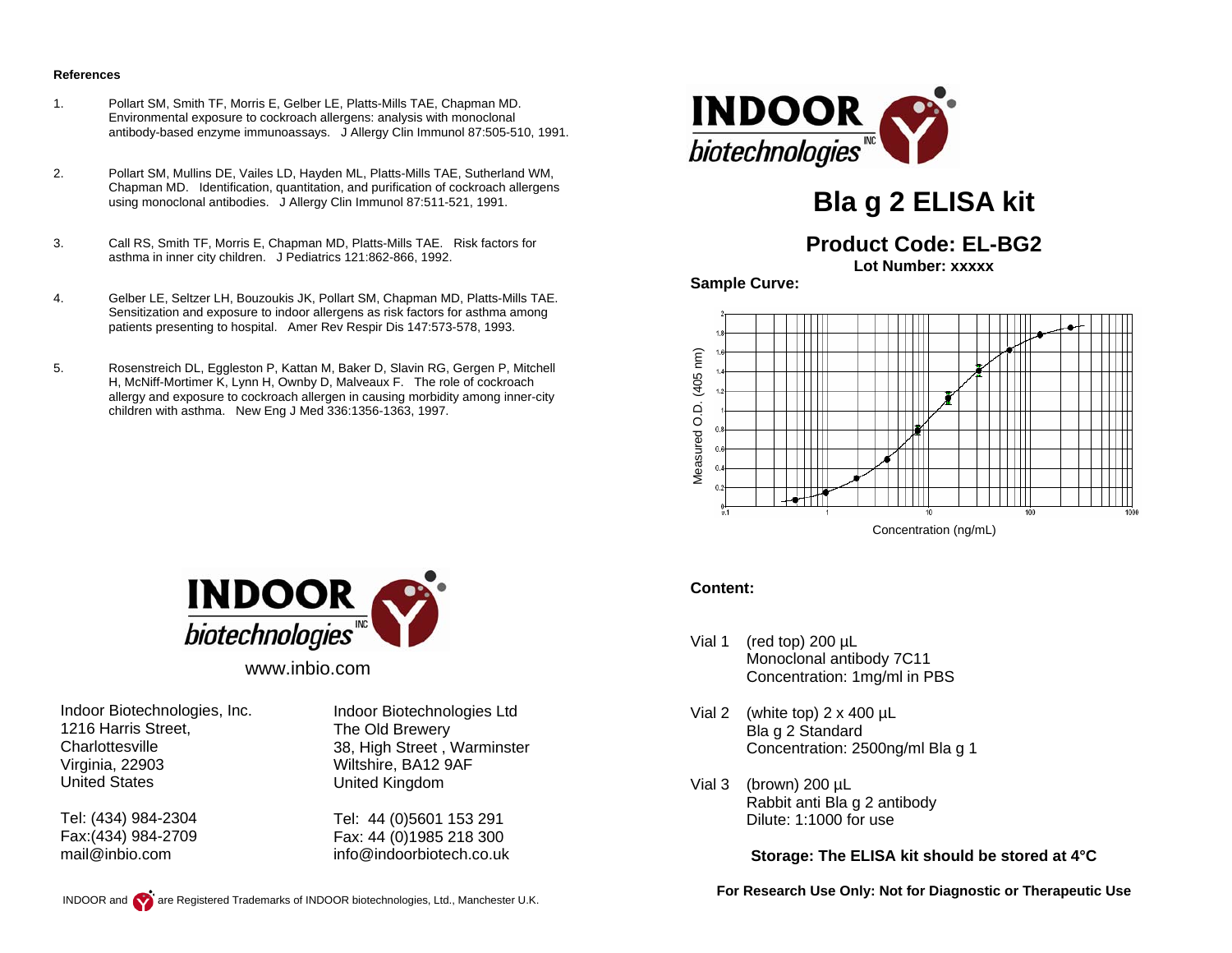#### **References**

- 1. Pollart SM, Smith TF, Morris E, Gelber LE, Platts-Mills TAE, Chapman MD. Environmental exposure to cockroach allergens: analysis with monoclonal antibody-based enzyme immunoassays. J Allergy Clin Immunol 87:505-510, 1991.
- 2. Pollart SM, Mullins DE, Vailes LD, Hayden ML, Platts-Mills TAE, Sutherland WM, Chapman MD. Identification, quantitation, and purification of cockroach allergens using monoclonal antibodies. J Allergy Clin Immunol 87:511-521, 1991.
- 3. Call RS, Smith TF, Morris E, Chapman MD, Platts-Mills TAE. Risk factors for asthma in inner city children. J Pediatrics 121:862-866, 1992.
- 4. Gelber LE, Seltzer LH, Bouzoukis JK, Pollart SM, Chapman MD, Platts-Mills TAE. Sensitization and exposure to indoor allergens as risk factors for asthma among patients presenting to hospital. Amer Rev Respir Dis 147:573-578, 1993.
- 5. Rosenstreich DL, Eggleston P, Kattan M, Baker D, Slavin RG, Gergen P, Mitchell H, McNiff-Mortimer K, Lynn H, Ownby D, Malveaux F. The role of cockroach allergy and exposure to cockroach allergen in causing morbidity among inner-city children with asthma. New Eng J Med 336:1356-1363, 1997.



# **Bla g 2 ELISA kit**

# **Product Code: EL-BG2**

**Lot Number: xxxxx** 

**Sample Curve:** 



Concentration (ng/mL)

#### **Content:**

- Vial 1 (red top) 200 µL Monoclonal antibody 7C11 Concentration: 1mg/ml in PBS
- Vial 2 (white top)  $2 \times 400 \mu L$  Bla g 2 Standard Concentration: 2500ng/ml Bla g 1
- Vial 3 (brown) 200 µL Rabbit anti Bla g 2 antibody Dilute: 1:1000 for use

**Storage: The ELISA kit should be stored at 4°C** 

**For Research Use Only: Not for Diagnostic or Therapeutic Use** 



www.inbio.com

Indoor Biotechnologies, Inc. 1216 Harris Street, **Charlottesville** Virginia, 22903 United States

Tel: (434) 984-2304 Fax:(434) 984-2709 mail@inbio.com

Indoor Biotechnologies Ltd The Old Brewery 38, High Street , Warminster Wiltshire, BA12 9AF United Kingdom

Tel: 44 (0)5601 153 291 Fax: 44 (0)1985 218 300 info@indoorbiotech.co.uk